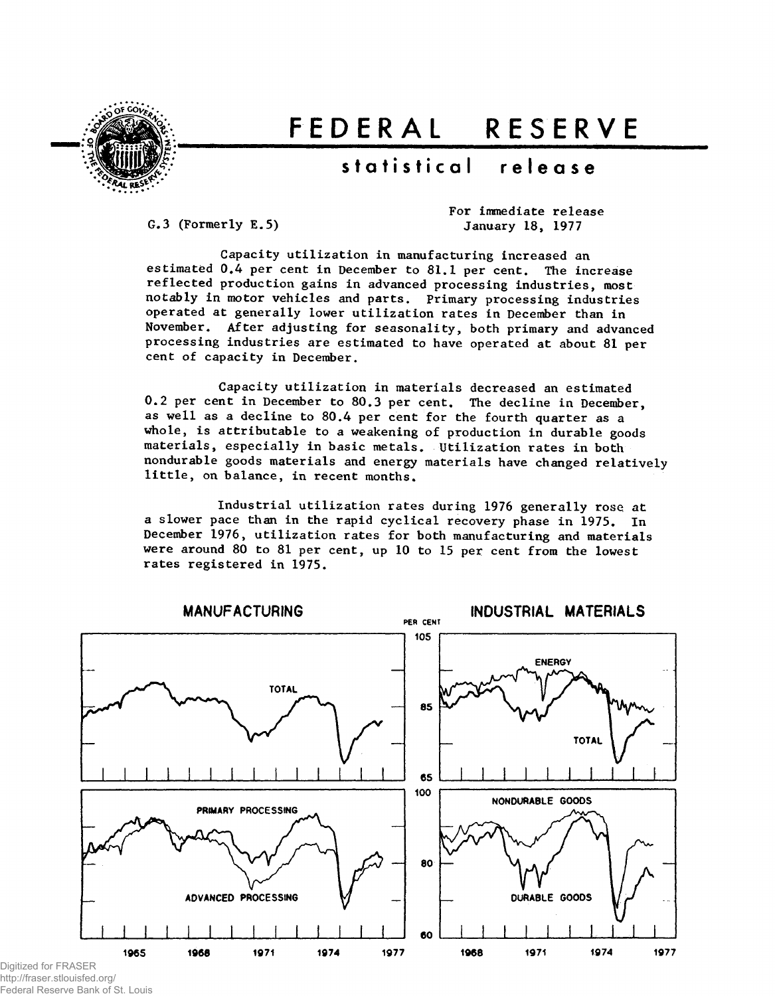

# FEDERAL RESERVE

## statistical release

G.3 (Formerly E.5)

For immediate release January 18, 1977

Capacity utilization in manufacturing increased an estimated 0.4 per cent in December to 81.1 per cent. The increase reflected production gains in advanced processing industries, most notably in motor vehicles and parts. Primary processing industries operated at generally lower utilization rates in December than in November. After adjusting for seasonality, both primary and advanced processing industries are estimated to have operated at about 81 per cent of capacity in December.

Capacity utilization in materials decreased an estimated 0.2 per cent in December to 80.3 per cent. The decline in December, as well as a decline to 80.4 per cent for the fourth quarter as a whole, is attributable to a weakening of production in durable goods materials, especially in basic metals. Utilization rates in both nondurable goods materials and energy materials have changed relatively little, on balance, in recent months.

Industrial utilization rates during 1976 generally rose at a slower pace than in the rapid cyclical recovery phase in 1975. In December 1976, utilization rates for both manufacturing and materials were around 80 to 81 per cent, up 10 to 15 per cent from the lowest rates registered in 1975.



Digitized for FRASER http://fraser.stlouisfed.org/ Federal Reserve Bank of St. Louis